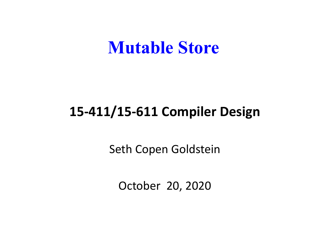#### **Mutable Store**

#### **15-411/15-611 Compiler Design**

Seth Copen Goldstein

October 20, 2020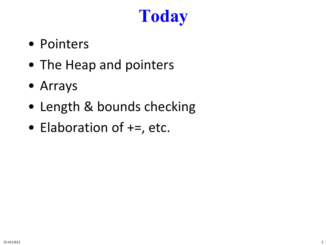# **Today**

- Pointers
- The Heap and pointers
- Arrays
- Length & bounds checking
- Elaboration of  $+=$ , etc.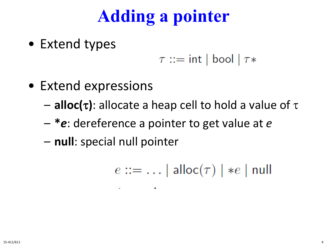# **Adding a pointer**

• Extend types

$$
\tau ::= \mathsf{int} \mid \mathsf{bool} \mid \tau *
$$

- Extend expressions
	- **alloc(**τ**)**: allocate a heap cell to hold a value of τ
	- **\****e*: dereference a pointer to get value at *e*

**Contract Contract** 

– **null**: special null pointer

 $e ::= \ldots |$  alloc $(\tau) | *e |$  null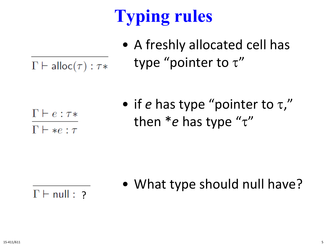# **Typing rules**

- A freshly allocated cell has type "pointer to  $\tau$ "
- $\Gamma \vdash \mathsf{alloc}(\tau) : \tau *$

 $\Gamma \vdash e : \tau *$  $\Gamma \vdash *e : \tau$ 

• if *e* has type "pointer to τ," then \**e* has type "τ"

• What type should null have?

 $\Gamma$   $\vdash$  null : ?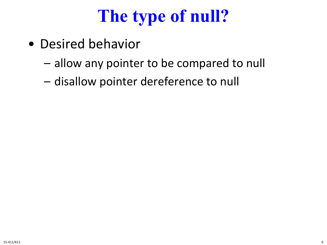# **The type of null?**

- Desired behavior
	- allow any pointer to be compared to null
	- disallow pointer dereference to null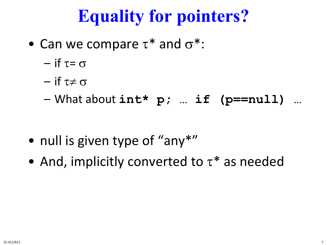# **Equality for pointers?**

- Can we compare  $\tau^*$  and  $\sigma^*$ :
	- $-$  if  $\tau = \sigma$
	- $-$  if  $\tau \neq \sigma$
	- What about **int\* p; … if (p==null) …**

- null is given type of "any\*"
- And, implicitly converted to  $\tau^*$  as needed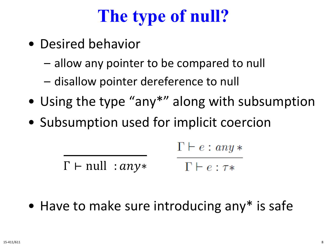# **The type of null?**

- Desired behavior
	- allow any pointer to be compared to null
	- disallow pointer dereference to null
- Using the type "any\*" along with subsumption
- Subsumption used for implicit coercion

$$
\Gamma \vdash e : any *
$$

 $\Gamma$  ⊢ null : *any*\*  $\Gamma \vdash e : \tau *$ 

• Have to make sure introducing any\* is safe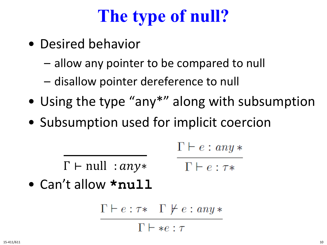# **The type of null?**

- Desired behavior
	- allow any pointer to be compared to null
	- disallow pointer dereference to null
- Using the type "any\*" along with subsumption
- Subsumption used for implicit coercion

$$
\Gamma \vdash e : any *
$$

 $\Gamma$  ⊢ null : *any*\*  $\Gamma \vdash e : \tau *$ 

• Can't allow **\*null**

$$
\Gamma \vdash e : \tau * \quad \Gamma \not\vdash e : any * \n\Gamma \vdash *e : \tau
$$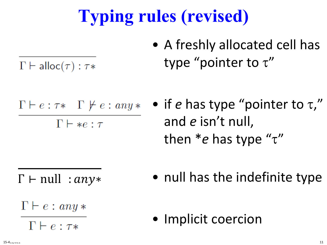# **Typing rules (revised)**

• A freshly allocated cell has type "pointer to  $\tau$ "

 $\Gamma \vdash \mathsf{alloc}(\tau) : \tau *$ 

- $\Gamma \vdash e : \tau * \Gamma \not\vdash e : any *$  $\Gamma \vdash *e : \tau$
- if *e* has type "pointer to τ," and *e* isn't null, then \**e* has type "τ"

 $\Gamma$  ⊢ null : *any*\*

• null has the indefinite type

- $\Gamma \vdash e : any *$ 
	- $\Gamma \vdash e : \tau *$

• Implicit coercion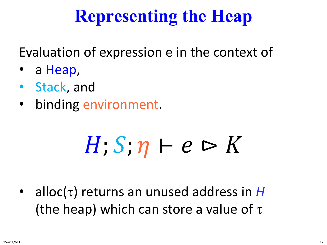## **Representing the Heap**

Evaluation of expression e in the context of

- a Heap,
- Stack, and
- binding environment.

# $H; S; \eta \vdash e \rhd K$

• alloc(τ) returns an unused address in *H* (the heap) which can store a value of  $\tau$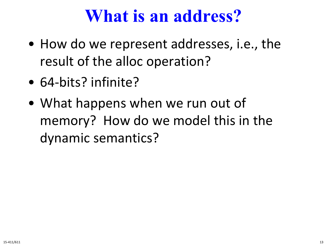#### **What is an address?**

- How do we represent addresses, i.e., the result of the alloc operation?
- 64-bits? infinite?
- What happens when we run out of memory? How do we model this in the dynamic semantics?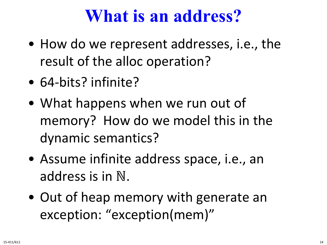#### **What is an address?**

- How do we represent addresses, i.e., the result of the alloc operation?
- 64-bits? infinite?
- What happens when we run out of memory? How do we model this in the dynamic semantics?
- Assume infinite address space, i.e., an address is in ℕ.
- Out of heap memory with generate an exception: "exception(mem)"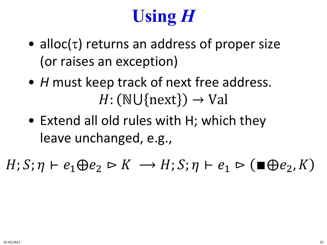# **Using** *H*

- alloc( $\tau$ ) returns an address of proper size (or raises an exception)
- *H* must keep track of next free address.  $H: (\mathbb{N} \cup \{next\}) \rightarrow \mathbb{V}$ al
- Extend all old rules with H; which they leave unchanged, e.g.,

 $H; S; \eta \vdash e_1 \oplus e_2 \rhd K \rightarrow H; S; \eta \vdash e_1 \rhd (\blacksquare \oplus e_2, K)$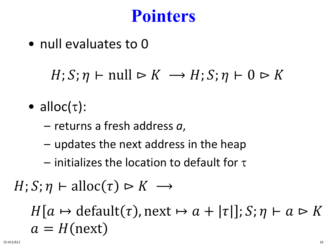#### **Pointers**

• null evaluates to 0

 $H; S; \eta \vdash null \rhd K \rightarrow H; S; \eta \vdash 0 \rhd K$ 

- alloc $(\tau)$ :
	- returns a fresh address *a*,
	- updates the next address in the heap
	- $-$  initializes the location to default for  $\tau$

 $H; S; \eta \vdash \text{alloc}(\tau) \rhd K \rightarrow$ 

 $H[a \mapsto \text{default}(\tau), \text{next} \mapsto a + |\tau|]; S; \eta \vdash a \triangleright K$  $a = H$ (next)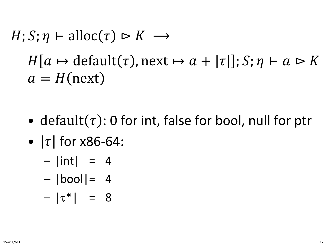## $H; S; \eta \vdash \text{alloc}(\tau) \rhd K \rightarrow$  $H[a \mapsto \text{default}(\tau), \text{next} \mapsto a + |\tau|]; S; \eta \vdash a \triangleright K$  $a = H$ (next)

- default( $\tau$ ): 0 for int, false for bool, null for ptr
- $\tau$  for x86-64:
	- $-$  |int| = 4
	- $|bool| = 4$
	- $-|\tau^*| = 8$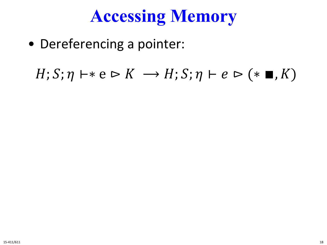# **Accessing Memory**

• Dereferencing a pointer:

 $H; S; \eta \vdash * e \rhd K \longrightarrow H; S; \eta \vdash e \rhd (* \blacksquare, K)$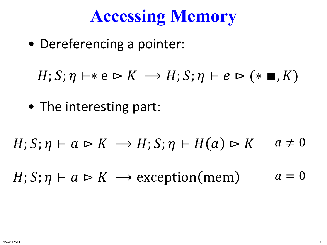#### **Accessing Memory**

• Dereferencing a pointer:

 $H; S; \eta \vdash * e \rhd K \longrightarrow H; S; \eta \vdash e \rhd (* \blacksquare, K)$ 

• The interesting part:

$$
H; S; \eta \vdash a \rhd K \rightarrow H; S; \eta \vdash H(a) \rhd K \quad a \neq 0
$$

 $H; S; \eta \vdash a \rhd K \longrightarrow \text{exception}(mem)$   $a = 0$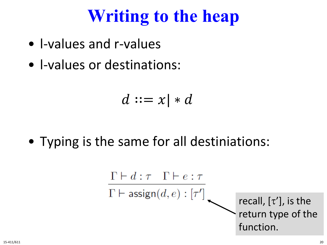- l-values and r-values
- l-values or destinations:

$$
d ::= x \mid * d
$$

• Typing is the same for all destiniations:

$$
\begin{array}{c}\n\Gamma \vdash d : \tau \quad \Gamma \vdash e : \tau \\
\overline{\Gamma \vdash \mathsf{assign}(d, e) : [\tau']} \\
\begin{array}{c}\n\text{recall, } [\tau'], \text{ is the} \\
\text{return type of the function.} \\
\end{array}\n\end{array}
$$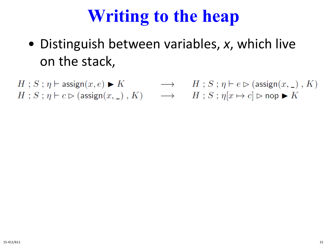- Distinguish between variables, *x*, which live on the stack,
- $H: S: \eta \vdash \mathsf{assign}(x, e) \blacktriangleright K \longrightarrow H: S: \eta \vdash e \rhd (\mathsf{assign}(x, \_)\, , K)$  $H: S: \eta \vdash c \rhd (\text{assign}(x, \_), K) \longrightarrow H: S: \eta[x \mapsto c] \rhd \text{nop} \blacktriangleright K$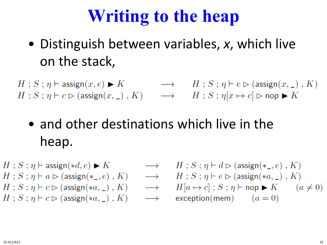• Distinguish between variables, *x*, which live on the stack,

 $H: S: \eta \vdash \mathsf{assign}(x, e) \blacktriangleright K \longrightarrow H: S: \eta \vdash e \rhd (\mathsf{assign}(x, \_) \ , K)$  $H: S: \eta \vdash c \rhd (\text{assign}(x, \_), K) \longrightarrow H: S: \eta[x \mapsto c] \rhd \text{nop} \blacktriangleright K$ 

#### • and other destinations which live in the heap.

$$
\begin{array}{llllll} H\ ;\ S\ ;\ \eta \vdash \text{assign}(*d,e) \blacktriangleright K & \longrightarrow & H\ ;\ S\ ; \\ H\ ;\ S\ ;\ \eta \vdash a \vartriangleright (\text{assign}(*\_,e)\ ,\ K) & \longrightarrow & H\ ;\ S\ ; \\ H\ ;\ S\ ;\ \eta \vdash c \vartriangleright (\text{assign}(*a,\_) \ ,\ K) & \longrightarrow & H[a\mapsto \\ H\ ;\ S\ ;\ \eta \vdash c \vartriangleright (\text{assign}(*a,\_) \ ,\ K) & \longrightarrow & \text{exception} \\ \end{array}
$$

$$
H; S; \eta \vdash d \rhd (\text{assign}(*_,e), K)
$$
  
\n
$$
H; S; \eta \vdash e \rhd (\text{assign}(*a, \_), K)
$$
  
\n
$$
H[a \mapsto c]; S; \eta \vdash \text{nop} \blacktriangleright K \qquad (a \neq 0)
$$
  
\nexception(mem) \qquad (a = 0)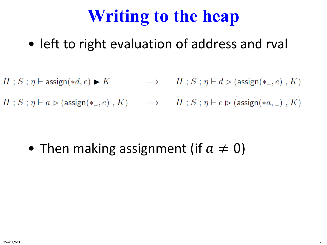- left to right evaluation of address and rval
- $H : S : \eta \vdash \text{assign}(*d, e) \blacktriangleright K$   $\longrightarrow$   $H : S : \eta \vdash d \triangleright (\text{assign}(*_-, e) , K)$
- $H: S: \eta \vdash a \rhd (\text{assign}(*_-, e), K) \longrightarrow H: S: \eta \vdash e \rhd (\text{assign}(*a, \_), K)$

• Then making assignment (if  $a \neq 0$ )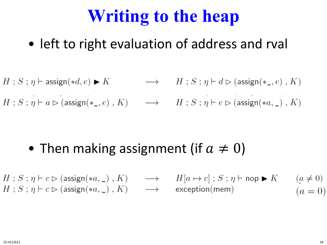#### • left to right evaluation of address and rval

- $\longrightarrow$   $H$ ;  $S$ ;  $\eta \vdash d \rhd (\text{assign}(*_-, e)$ ,  $K)$  $H$ ;  $S$ ;  $\eta$   $\vdash$  assign(\*d, e)  $\blacktriangleright K$
- $H: S: \eta \vdash a \rhd (\text{assign}(*_-, e), K) \longrightarrow H: S: \eta \vdash e \rhd (\text{assign}(*a, \_), K)$

- Then making assignment (if  $a \neq 0$ )
- $H: S: \eta \vdash c \rhd (\text{assign}(*a, \_), K) \longrightarrow H[a \mapsto c]$ ;  $S: \eta \vdash \text{nop} \blacktriangleright K$   $(a \neq 0)$  $H: S: \eta \vdash c \rhd (\text{assign}(*a, \_), K) \longrightarrow \text{exception}(\text{mem})$  $(a = 0)$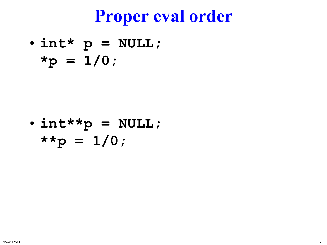#### **Proper eval order**

• **int\* p = NULL;**  $*_{p} = 1/0;$ 

• **int\*\*p = NULL; \*\*p = 1/0;**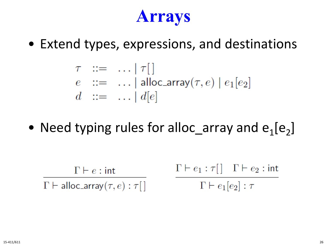#### **Arrays**

• Extend types, expressions, and destinations

$$
\tau ::= \dots | \tau[ ]
$$
  

$$
e ::= \dots | \text{alloc\_array}(\tau, e) | e_1[e_2]
$$
  

$$
d ::= \dots | d[e]
$$

• Need typing rules for alloc\_array and  $e_1[e_2]$ 

$$
\frac{\Gamma \vdash e : \mathsf{int}}{\Gamma \vdash \mathsf{alloc\_array}(\tau, e) : \tau[\ ] \qquad \qquad \frac{\Gamma \vdash e_1 : \tau[\ ] \quad \Gamma \vdash e_2 : \mathsf{int}}{\Gamma \vdash e_1[e_2] : \tau}
$$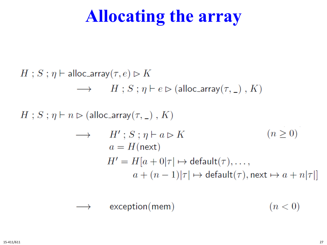#### **Allocating the array**

 $H$ ;  $S$ ;  $\eta$   $\vdash$  alloc\_array( $\tau$ ,  $e$ )  $\triangleright K$  $\longrightarrow$   $H$ ;  $S$ ;  $\eta \vdash e \triangleright$  (alloc\_array( $\tau$ , \_),  $K$ )  $H$ ;  $S$ ;  $\eta$   $\vdash$   $n \triangleright$  (alloc\_array( $\tau$ , \_),  $K$ )  $(n \geq 0)$  $\longrightarrow$   $H'$ ;  $S$ ;  $\eta \vdash a \triangleright K$  $a = H$ (next)  $H' = H[a + 0|\tau] \mapsto$  default $(\tau), \ldots,$  $a + (n-1)|\tau| \mapsto$  default $(\tau)$ , next  $\mapsto a + n|\tau|$ 

$$
\longrightarrow \qquad \mathsf{exception}(\mathsf{mem}) \qquad \qquad (n < 0)
$$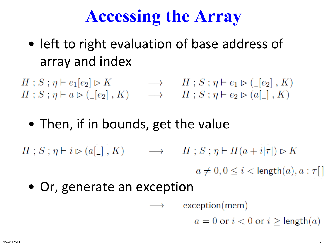## **Accessing the Array**

- left to right evaluation of base address of array and index
- $H; S; \eta \vdash e_1[e_2] \triangleright K \longrightarrow H; S; \eta \vdash e_1 \triangleright ( \_ [e_2], K)$ <br>  $H; S; \eta \vdash a \triangleright ( \_ [e_2], K) \longrightarrow H; S; \eta \vdash e_2 \triangleright (a [\_], K)$ 
	- Then, if in bounds, get the value
- $H: S: \eta \vdash i \rhd (a[\_], K) \longrightarrow H: S: \eta \vdash H(a+i|\tau|) \rhd K$

 $a \neq 0, 0 \leq i < \text{length}(a), a : \tau$ []

• Or, generate an exception

 $\longrightarrow$  exception(mem)

 $a = 0$  or  $i < 0$  or  $i \geq$  length $(a)$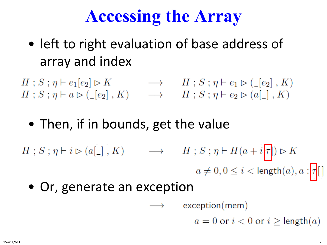## **Accessing the Array**

- left to right evaluation of base address of array and index
- $H; S; \eta \vdash e_1[e_2] \triangleright K \longrightarrow H; S; \eta \vdash e_1 \triangleright ( \_ [e_2], K)$ <br>  $H; S; \eta \vdash a \triangleright ( \_ [e_2], K) \longrightarrow H; S; \eta \vdash e_2 \triangleright (a [\_], K)$ 
	- Then, if in bounds, get the value
- $H: S: \eta \vdash i \rhd (a[\_], K) \longrightarrow H: S: \eta \vdash H(a+i|\tau|) \rhd K$  $a \neq 0, 0 \leq i < \text{length}(a), a : \boxed{\tau}$ 
	- Or, generate an exception

 $\longrightarrow$  exception(mem)

 $a = 0$  or  $i < 0$  or  $i \geq$  length $(a)$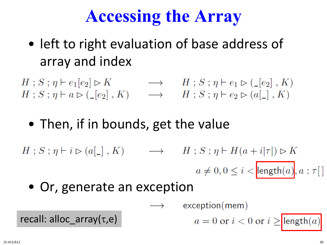# **Accessing the Array**

- left to right evaluation of base address of array and index
- $H; S; \eta \vdash e_1[e_2] \triangleright K \longrightarrow H; S; \eta \vdash e_1 \triangleright ( \_ [e_2], K)$ <br>  $H; S; \eta \vdash a \triangleright ( \_ [e_2], K) \longrightarrow H; S; \eta \vdash e_2 \triangleright (a [\_], K)$ 
	- Then, if in bounds, get the value
- $H: S: \eta \vdash i \rhd (a[\_], K) \longrightarrow H: S: \eta \vdash H(a+i|\tau|) \rhd K$  $a \neq 0, 0 \leq i <$  length $(a)$ ,  $a : \tau[$ 
	- Or, generate an exception

recall: alloc\_array(τ,e)

 $exception(mem)$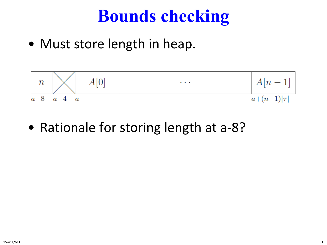#### **Bounds checking**

• Must store length in heap.



• Rationale for storing length at a-8?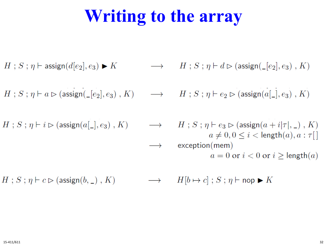# **Writing to the array**

 $H$ ;  $S$ ;  $\eta$   $\vdash$  assign( $d[e_2], e_3$ )  $\blacktriangleright K$ 

 $H: S: \eta \vdash a \rhd (\text{assign}(\lfloor e_2 \rfloor, e_3), K) \longrightarrow H: S: \eta \vdash e_2 \rhd (\text{assign}(a[\lfloor e_3 \rfloor, E_3), K))$ 

 $H: S: \eta \vdash i \rhd (\text{assign}(a[\_], e_3), K)$ 

 $\longrightarrow$   $H$ ;  $S$ ;  $\eta \vdash d \rhd$  (assign( $\lnot [e_2], e_3$ ),  $K$ )

 $\longrightarrow$   $H$ ;  $S$ ;  $\eta \vdash e_3 \rhd (\text{assign}(a + i | \tau |, \_), K)$  $a \neq 0, 0 \leq i \leq \text{length}(a), a : \tau$  $\longrightarrow$  exception(mem)  $a = 0$  or  $i < 0$  or  $i >$  length $(a)$ 

 $\longrightarrow$   $H[b \mapsto c]$ ;  $S$ ;  $\eta \vdash$  nop  $\blacktriangleright K$  $H$ ;  $S$ ;  $\eta \vdash c \triangleright$  (assign(b, \_), K)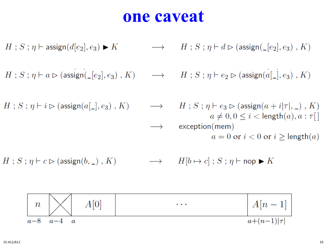#### **one caveat**

$$
H; S; \eta \vdash \text{assign}(d[e_2], e_3) \blacktriangleright K \longrightarrow H; S; \eta \vdash d \triangleright (\text{assign}(\text{__}[e_2], e_3), K)
$$

$$
H\mathrel{;} S\mathrel{;} \eta\vdash a\rhd ({\rm assign}(\verb|_- [e_2],e_3)\;,\,K) \qquad\longrightarrow\qquad H\mathrel{;} S\mathrel{;} \eta\vdash e_2\rhd ({\rm assign}(a[\verb|_-],e_3)\;,\,K)
$$

 $\rightarrow$ 

$$
H; S; \eta \vdash i \rhd (\text{assign}(a[\_], e_3), K)
$$

$$
H; S; \eta \vdash e_3 \rhd (\text{assign}(a + i|\tau|, \_), K)
$$

$$
a \neq 0, 0 \leq i < \text{length}(a), a : \tau[]
$$

$$
\text{exception}(mem)
$$

$$
a = 0 \text{ or } i < 0 \text{ or } i \geq \text{length}(a)
$$

 $H$ ;  $S$ ;  $\eta \vdash c \rhd (\text{assign}(b, \_)$ ,  $K)$  $\longrightarrow$   $H[b \mapsto c]$ ;  $S$ ;  $\eta \vdash$  nop  $\blacktriangleright K$ 

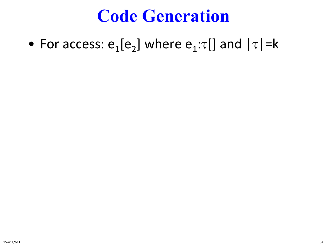#### **Code Generation**

• For access:  $e_1[e_2]$  where  $e_1:\tau[]$  and  $|\tau|=k$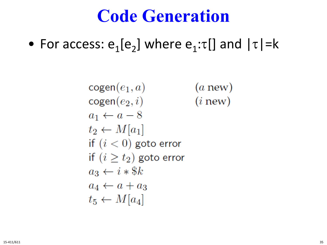#### **Code Generation**

• For access:  $e_1[e_2]$  where  $e_1:\tau[]$  and  $|\tau|=k$ 

 $cogen(e_1, a)$  $(a new)$  $cogen(e_2, i)$  $(i new)$  $a_1 \leftarrow a - 8$  $t_2 \leftarrow M[a_1]$ if  $(i < 0)$  goto error if  $(i \geq t_2)$  goto error  $a_3 \leftarrow i * \$k$  $a_4 \leftarrow a + a_3$  $t_5 \leftarrow M[a_4]$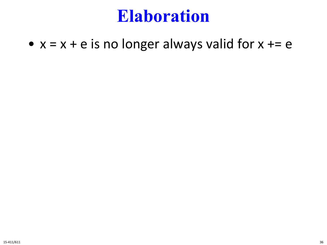#### **Elaboration**

•  $x = x + e$  is no longer always valid for  $x == e$